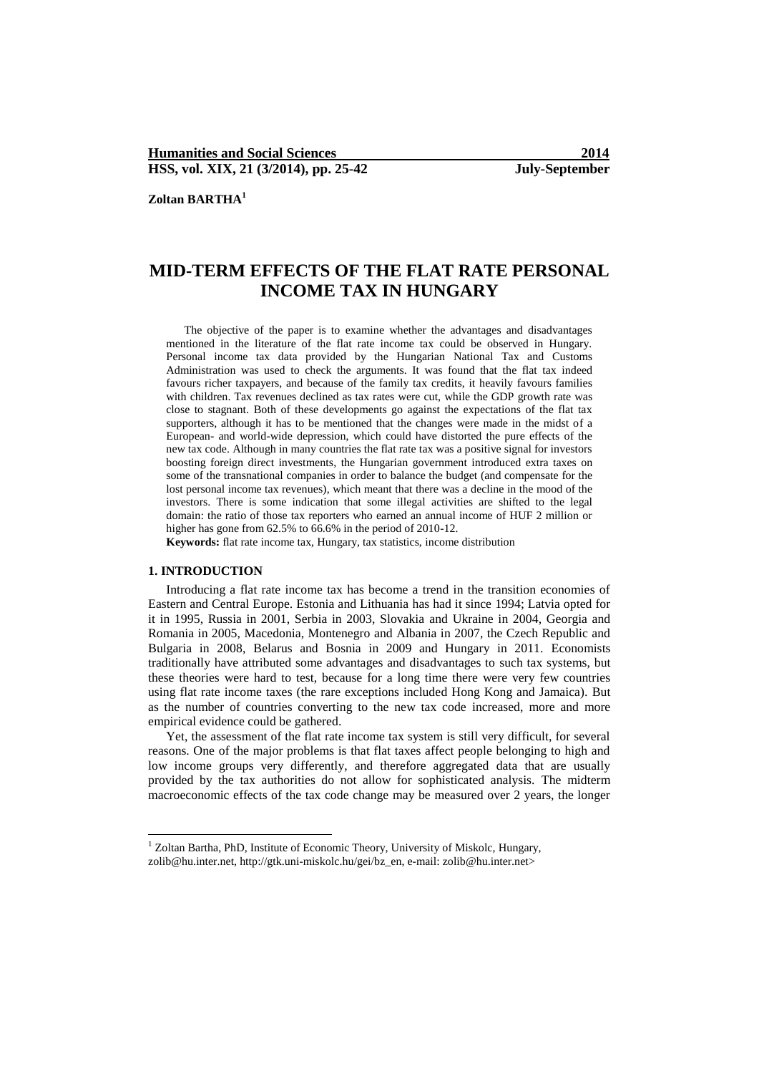**Zoltan BARTHA<sup>1</sup>**

# **MID-TERM EFFECTS OF THE FLAT RATE PERSONAL INCOME TAX IN HUNGARY**

The objective of the paper is to examine whether the advantages and disadvantages mentioned in the literature of the flat rate income tax could be observed in Hungary. Personal income tax data provided by the Hungarian National Tax and Customs Administration was used to check the arguments. It was found that the flat tax indeed favours richer taxpayers, and because of the family tax credits, it heavily favours families with children. Tax revenues declined as tax rates were cut, while the GDP growth rate was close to stagnant. Both of these developments go against the expectations of the flat tax supporters, although it has to be mentioned that the changes were made in the midst of a European- and world-wide depression, which could have distorted the pure effects of the new tax code. Although in many countries the flat rate tax was a positive signal for investors boosting foreign direct investments, the Hungarian government introduced extra taxes on some of the transnational companies in order to balance the budget (and compensate for the lost personal income tax revenues), which meant that there was a decline in the mood of the investors. There is some indication that some illegal activities are shifted to the legal domain: the ratio of those tax reporters who earned an annual income of HUF 2 million or higher has gone from  $62.5\%$  to  $66.6\%$  in the period of 2010-12.

**Keywords:** flat rate income tax, Hungary, tax statistics, income distribution

#### **1. INTRODUCTION**

**.** 

Introducing a flat rate income tax has become a trend in the transition economies of Eastern and Central Europe. Estonia and Lithuania has had it since 1994; Latvia opted for it in 1995, Russia in 2001, Serbia in 2003, Slovakia and Ukraine in 2004, Georgia and Romania in 2005, Macedonia, Montenegro and Albania in 2007, the Czech Republic and Bulgaria in 2008, Belarus and Bosnia in 2009 and Hungary in 2011. Economists traditionally have attributed some advantages and disadvantages to such tax systems, but these theories were hard to test, because for a long time there were very few countries using flat rate income taxes (the rare exceptions included Hong Kong and Jamaica). But as the number of countries converting to the new tax code increased, more and more empirical evidence could be gathered.

Yet, the assessment of the flat rate income tax system is still very difficult, for several reasons. One of the major problems is that flat taxes affect people belonging to high and low income groups very differently, and therefore aggregated data that are usually provided by the tax authorities do not allow for sophisticated analysis. The midterm macroeconomic effects of the tax code change may be measured over 2 years, the longer

<sup>&</sup>lt;sup>1</sup> Zoltan Bartha, PhD, Institute of Economic Theory, University of Miskolc, Hungary, zolib@hu.inter.net, [http://gtk.uni-miskolc.hu/gei/bz\\_en,](http://gtk.uni-miskolc.hu/gei/bz_en) e-mail[: zolib@hu.inter.net>](mailto:zolib@hu.inter.net)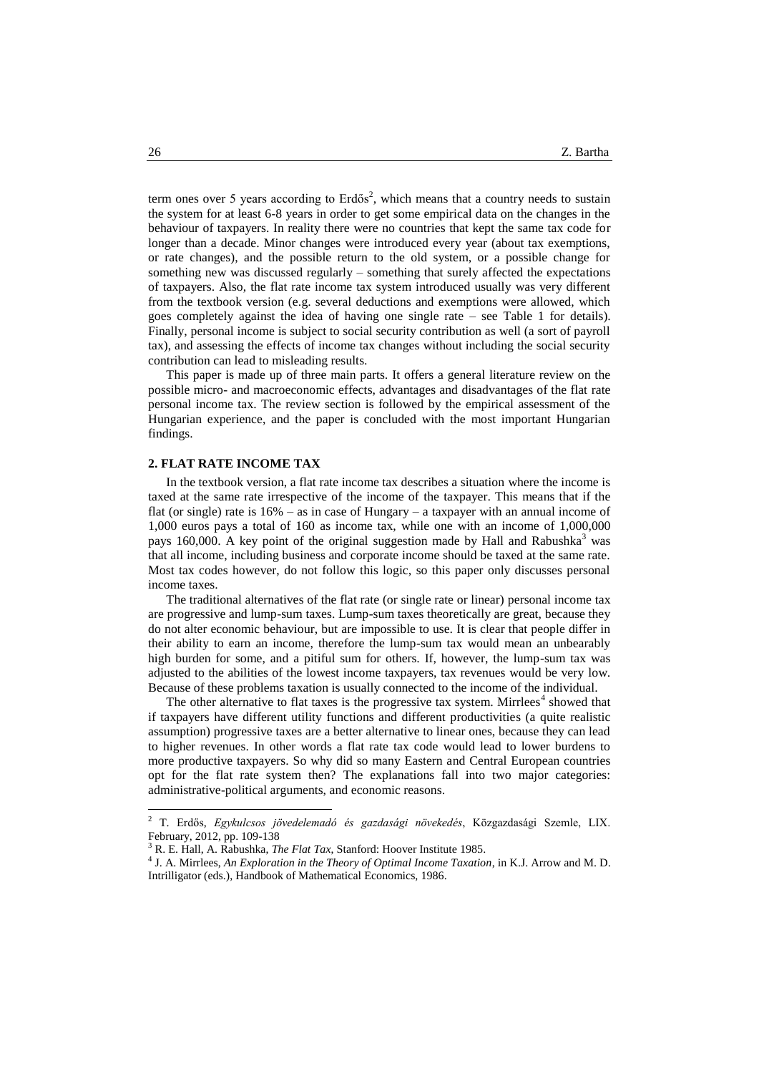term ones over 5 years according to  $Erd\ddot{\omega}^2$ , which means that a country needs to sustain the system for at least 6-8 years in order to get some empirical data on the changes in the behaviour of taxpayers. In reality there were no countries that kept the same tax code for longer than a decade. Minor changes were introduced every year (about tax exemptions, or rate changes), and the possible return to the old system, or a possible change for something new was discussed regularly – something that surely affected the expectations of taxpayers. Also, the flat rate income tax system introduced usually was very different from the textbook version (e.g. several deductions and exemptions were allowed, which goes completely against the idea of having one single rate – see Table 1 for details). Finally, personal income is subject to social security contribution as well (a sort of payroll tax), and assessing the effects of income tax changes without including the social security contribution can lead to misleading results.

This paper is made up of three main parts. It offers a general literature review on the possible micro- and macroeconomic effects, advantages and disadvantages of the flat rate personal income tax. The review section is followed by the empirical assessment of the Hungarian experience, and the paper is concluded with the most important Hungarian findings.

#### **2. FLAT RATE INCOME TAX**

In the textbook version, a flat rate income tax describes a situation where the income is taxed at the same rate irrespective of the income of the taxpayer. This means that if the flat (or single) rate is  $16\%$  – as in case of Hungary – a taxpayer with an annual income of 1,000 euros pays a total of 160 as income tax, while one with an income of 1,000,000 pays 160,000. A key point of the original suggestion made by Hall and Rabushka<sup>3</sup> was that all income, including business and corporate income should be taxed at the same rate. Most tax codes however, do not follow this logic, so this paper only discusses personal income taxes.

The traditional alternatives of the flat rate (or single rate or linear) personal income tax are progressive and lump-sum taxes. Lump-sum taxes theoretically are great, because they do not alter economic behaviour, but are impossible to use. It is clear that people differ in their ability to earn an income, therefore the lump-sum tax would mean an unbearably high burden for some, and a pitiful sum for others. If, however, the lump-sum tax was adjusted to the abilities of the lowest income taxpayers, tax revenues would be very low. Because of these problems taxation is usually connected to the income of the individual.

The other alternative to flat taxes is the progressive tax system. Mirrlees<sup>4</sup> showed that if taxpayers have different utility functions and different productivities (a quite realistic assumption) progressive taxes are a better alternative to linear ones, because they can lead to higher revenues. In other words a flat rate tax code would lead to lower burdens to more productive taxpayers. So why did so many Eastern and Central European countries opt for the flat rate system then? The explanations fall into two major categories: administrative-political arguments, and economic reasons.

<sup>2</sup> T. Erdős, *Egykulcsos jövedelemadó és gazdasági növekedés*, Közgazdasági Szemle, LIX. February, 2012, pp. 109-138

<sup>3</sup> R. E. Hall, A. Rabushka, *The Flat Tax*, Stanford: Hoover Institute 1985.

<sup>4</sup> J. A. Mirrlees, *An Exploration in the Theory of Optimal Income Taxation*, in K.J. Arrow and M. D. Intrilligator (eds.), Handbook of Mathematical Economics, 1986.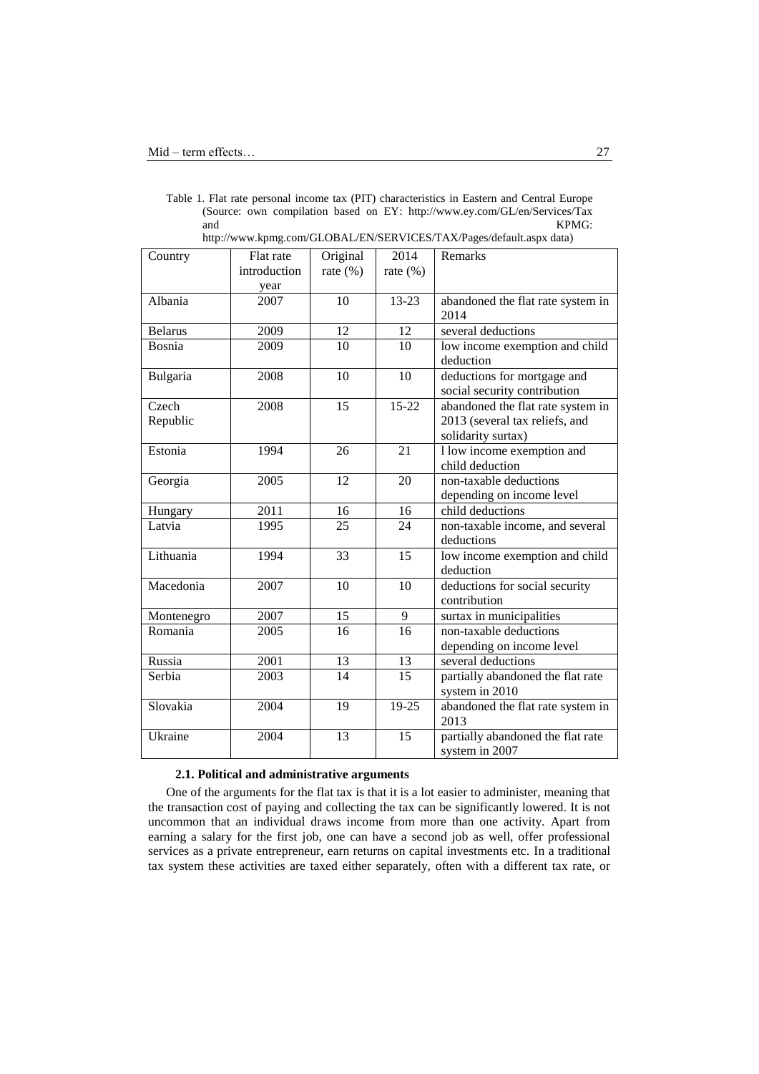| Country        | Flat rate    | Original        | 2014            | Remarks                           |
|----------------|--------------|-----------------|-----------------|-----------------------------------|
|                | introduction | rate $(\% )$    | rate $(\% )$    |                                   |
|                | year         |                 |                 |                                   |
| Albania        | 2007         | 10              | 13-23           | abandoned the flat rate system in |
|                |              |                 |                 | 2014                              |
| <b>Belarus</b> | 2009         | 12              | 12              | several deductions                |
| Bosnia         | 2009         | 10              | 10              | low income exemption and child    |
|                |              |                 |                 | deduction                         |
| Bulgaria       | 2008         | 10              | 10              | deductions for mortgage and       |
|                |              |                 |                 | social security contribution      |
| Czech          | 2008         | 15              | $15 - 22$       | abandoned the flat rate system in |
| Republic       |              |                 |                 | 2013 (several tax reliefs, and    |
|                |              |                 |                 | solidarity surtax)                |
| Estonia        | 1994         | 26              | 21              | I low income exemption and        |
|                |              |                 |                 | child deduction                   |
| Georgia        | 2005         | 12              | $\overline{20}$ | non-taxable deductions            |
|                |              |                 |                 | depending on income level         |
| Hungary        | 2011         | 16              | 16              | child deductions                  |
| Latvia         | 1995         | 25              | 24              | non-taxable income, and several   |
|                |              |                 |                 | deductions                        |
| Lithuania      | 1994         | $\overline{33}$ | 15              | low income exemption and child    |
|                |              |                 |                 | deduction                         |
| Macedonia      | 2007         | 10              | 10              | deductions for social security    |
|                |              |                 |                 | contribution                      |
| Montenegro     | 2007         | 15              | 9               | surtax in municipalities          |
| Romania        | 2005         | 16              | 16              | non-taxable deductions            |
|                |              |                 |                 | depending on income level         |
| Russia         | 2001         | 13              | 13              | several deductions                |
| Serbia         | 2003         | $\overline{14}$ | 15              | partially abandoned the flat rate |
|                |              |                 |                 | system in 2010                    |
| Slovakia       | 2004         | 19              | 19-25           | abandoned the flat rate system in |
|                |              |                 |                 | 2013                              |
| Ukraine        | 2004         | 13              | 15              | partially abandoned the flat rate |
|                |              |                 |                 | system in 2007                    |

and KPMG: http://www.kpmg.com/GLOBAL/EN/SERVICES/TAX/Pages/default.aspx data)

Table 1. Flat rate personal income tax (PIT) characteristics in Eastern and Central Europe (Source: own compilation based on EY: http://www.ey.com/GL/en/Services/Tax

## **2.1. Political and administrative arguments**

One of the arguments for the flat tax is that it is a lot easier to administer, meaning that the transaction cost of paying and collecting the tax can be significantly lowered. It is not uncommon that an individual draws income from more than one activity. Apart from earning a salary for the first job, one can have a second job as well, offer professional services as a private entrepreneur, earn returns on capital investments etc. In a traditional tax system these activities are taxed either separately, often with a different tax rate, or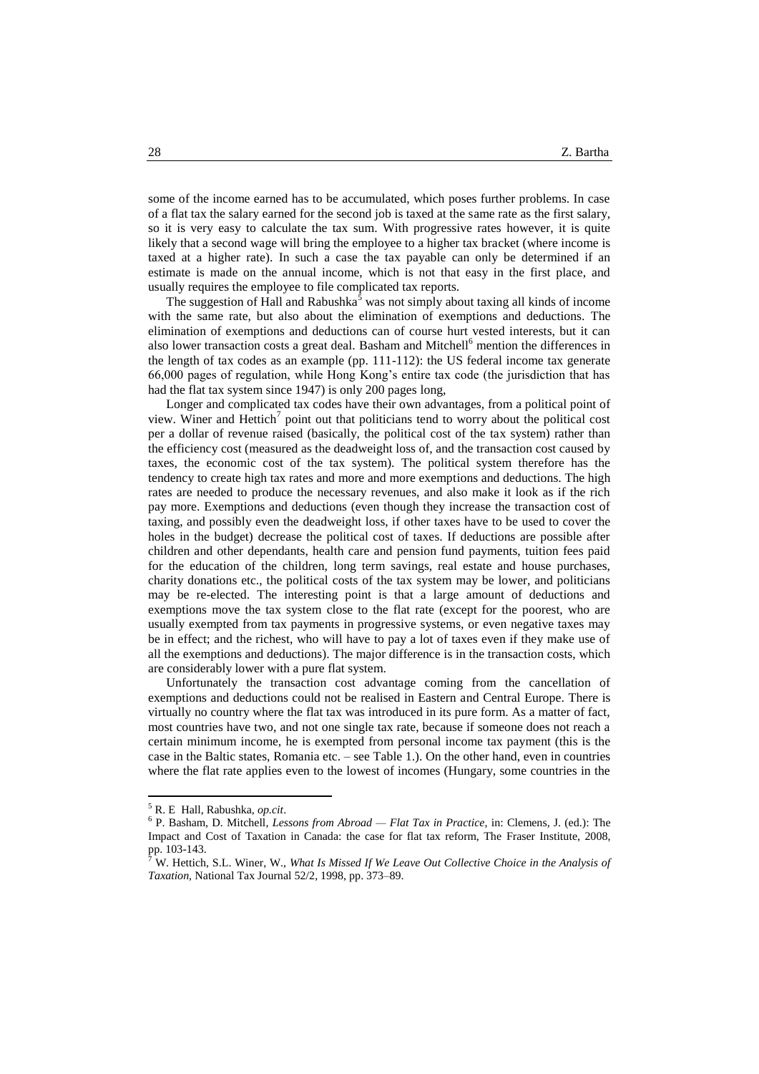some of the income earned has to be accumulated, which poses further problems. In case of a flat tax the salary earned for the second job is taxed at the same rate as the first salary, so it is very easy to calculate the tax sum. With progressive rates however, it is quite likely that a second wage will bring the employee to a higher tax bracket (where income is taxed at a higher rate). In such a case the tax payable can only be determined if an estimate is made on the annual income, which is not that easy in the first place, and usually requires the employee to file complicated tax reports.

The suggestion of Hall and Rabushka<sup>5</sup> was not simply about taxing all kinds of income with the same rate, but also about the elimination of exemptions and deductions. The elimination of exemptions and deductions can of course hurt vested interests, but it can also lower transaction costs a great deal. Basham and Mitchell<sup>6</sup> mention the differences in the length of tax codes as an example (pp. 111-112): the US federal income tax generate 66,000 pages of regulation, while Hong Kong's entire tax code (the jurisdiction that has had the flat tax system since 1947) is only 200 pages long,

Longer and complicated tax codes have their own advantages, from a political point of view. Winer and Hettich<sup>7</sup> point out that politicians tend to worry about the political cost per a dollar of revenue raised (basically, the political cost of the tax system) rather than the efficiency cost (measured as the deadweight loss of, and the transaction cost caused by taxes, the economic cost of the tax system). The political system therefore has the tendency to create high tax rates and more and more exemptions and deductions. The high rates are needed to produce the necessary revenues, and also make it look as if the rich pay more. Exemptions and deductions (even though they increase the transaction cost of taxing, and possibly even the deadweight loss, if other taxes have to be used to cover the holes in the budget) decrease the political cost of taxes. If deductions are possible after children and other dependants, health care and pension fund payments, tuition fees paid for the education of the children, long term savings, real estate and house purchases, charity donations etc., the political costs of the tax system may be lower, and politicians may be re-elected. The interesting point is that a large amount of deductions and exemptions move the tax system close to the flat rate (except for the poorest, who are usually exempted from tax payments in progressive systems, or even negative taxes may be in effect; and the richest, who will have to pay a lot of taxes even if they make use of all the exemptions and deductions). The major difference is in the transaction costs, which are considerably lower with a pure flat system.

Unfortunately the transaction cost advantage coming from the cancellation of exemptions and deductions could not be realised in Eastern and Central Europe. There is virtually no country where the flat tax was introduced in its pure form. As a matter of fact, most countries have two, and not one single tax rate, because if someone does not reach a certain minimum income, he is exempted from personal income tax payment (this is the case in the Baltic states, Romania etc. – see Table 1.). On the other hand, even in countries where the flat rate applies even to the lowest of incomes (Hungary, some countries in the

<sup>5</sup> R. E Hall, Rabushka, *op.cit*.

<sup>6</sup> P. Basham, D. Mitchell, *Lessons from Abroad — Flat Tax in Practice*, in: Clemens, J. (ed.): The Impact and Cost of Taxation in Canada: the case for flat tax reform, The Fraser Institute, 2008, pp. 103-143.

<sup>7</sup> W. Hettich, S.L. Winer, W., *What Is Missed If We Leave Out Collective Choice in the Analysis of Taxation,* National Tax Journal 52/2, 1998, pp. 373–89.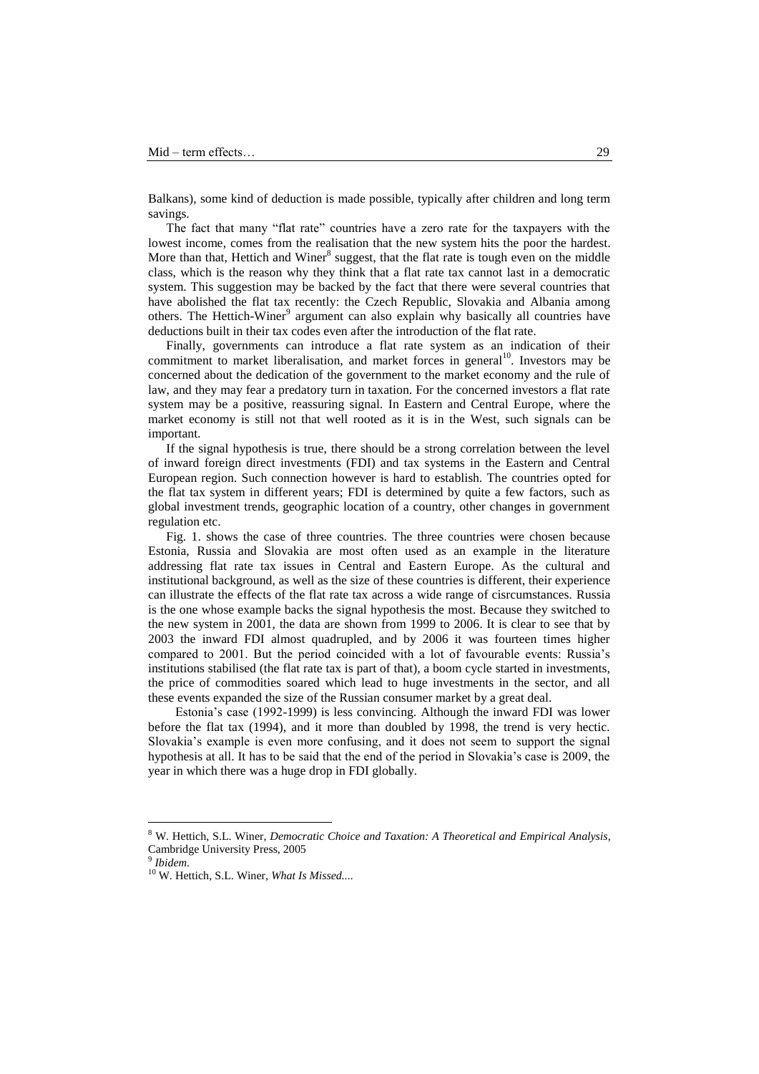Balkans), some kind of deduction is made possible, typically after children and long term savings.

The fact that many "flat rate" countries have a zero rate for the taxpayers with the lowest income, comes from the realisation that the new system hits the poor the hardest. More than that, Hettich and Winer<sup>8</sup> suggest, that the flat rate is tough even on the middle class, which is the reason why they think that a flat rate tax cannot last in a democratic system. This suggestion may be backed by the fact that there were several countries that have abolished the flat tax recently: the Czech Republic, Slovakia and Albania among others. The Hettich-Winer<sup>9</sup> argument can also explain why basically all countries have deductions built in their tax codes even after the introduction of the flat rate.

Finally, governments can introduce a flat rate system as an indication of their commitment to market liberalisation, and market forces in general<sup>10</sup>. Investors may be concerned about the dedication of the government to the market economy and the rule of law, and they may fear a predatory turn in taxation. For the concerned investors a flat rate system may be a positive, reassuring signal. In Eastern and Central Europe, where the market economy is still not that well rooted as it is in the West, such signals can be important.

If the signal hypothesis is true, there should be a strong correlation between the level of inward foreign direct investments (FDI) and tax systems in the Eastern and Central European region. Such connection however is hard to establish. The countries opted for the flat tax system in different years; FDI is determined by quite a few factors, such as global investment trends, geographic location of a country, other changes in government regulation etc.

Fig. 1. shows the case of three countries. The three countries were chosen because Estonia, Russia and Slovakia are most often used as an example in the literature addressing flat rate tax issues in Central and Eastern Europe. As the cultural and institutional background, as well as the size of these countries is different, their experience can illustrate the effects of the flat rate tax across a wide range of cisrcumstances. Russia is the one whose example backs the signal hypothesis the most. Because they switched to the new system in 2001, the data are shown from 1999 to 2006. It is clear to see that by 2003 the inward FDI almost quadrupled, and by 2006 it was fourteen times higher compared to 2001. But the period coincided with a lot of favourable events: Russia's institutions stabilised (the flat rate tax is part of that), a boom cycle started in investments, the price of commodities soared which lead to huge investments in the sector, and all these events expanded the size of the Russian consumer market by a great deal.

Estonia's case (1992-1999) is less convincing. Although the inward FDI was lower before the flat tax (1994), and it more than doubled by 1998, the trend is very hectic. Slovakia's example is even more confusing, and it does not seem to support the signal hypothesis at all. It has to be said that the end of the period in Slovakia's case is 2009, the year in which there was a huge drop in FDI globally.

<sup>8</sup> W. Hettich, S.L. Winer, *Democratic Choice and Taxation: A Theoretical and Empirical Analysis*, Cambridge University Press, 2005

<sup>9</sup> *Ibidem.*

<sup>10</sup> W. Hettich, S.L. Winer, *What Is Missed....*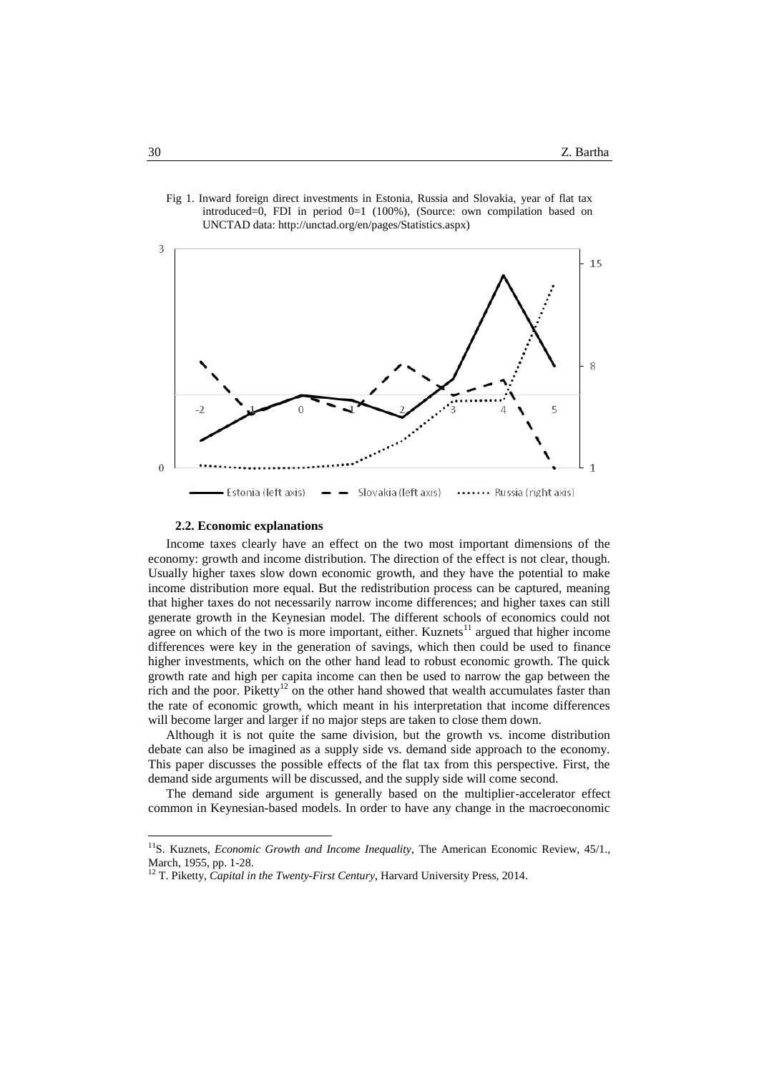

Fig 1. Inward foreign direct investments in Estonia, Russia and Slovakia, year of flat tax introduced=0, FDI in period  $0=1$  (100%), (Source: own compilation based on UNCTAD data: http://unctad.org/en/pages/Statistics.aspx)

#### **2.2. Economic explanations**

Income taxes clearly have an effect on the two most important dimensions of the economy: growth and income distribution. The direction of the effect is not clear, though. Usually higher taxes slow down economic growth, and they have the potential to make income distribution more equal. But the redistribution process can be captured, meaning that higher taxes do not necessarily narrow income differences; and higher taxes can still generate growth in the Keynesian model. The different schools of economics could not agree on which of the two is more important, either. Kuznets<sup>11</sup> argued that higher income differences were key in the generation of savings, which then could be used to finance higher investments, which on the other hand lead to robust economic growth. The quick growth rate and high per capita income can then be used to narrow the gap between the rich and the poor. Piketty<sup>12</sup> on the other hand showed that wealth accumulates faster than the rate of economic growth, which meant in his interpretation that income differences will become larger and larger if no major steps are taken to close them down.

Although it is not quite the same division, but the growth vs. income distribution debate can also be imagined as a supply side vs. demand side approach to the economy. This paper discusses the possible effects of the flat tax from this perspective. First, the demand side arguments will be discussed, and the supply side will come second.

The demand side argument is generally based on the multiplier-accelerator effect common in Keynesian-based models. In order to have any change in the macroeconomic

<sup>&</sup>lt;sup>11</sup>S. Kuznets, *Economic Growth and Income Inequality*, The American Economic Review, 45/1., March, 1955, pp. 1-28.

<sup>&</sup>lt;sup>12</sup> T. Piketty, *Capital in the Twenty-First Century*, Harvard University Press, 2014.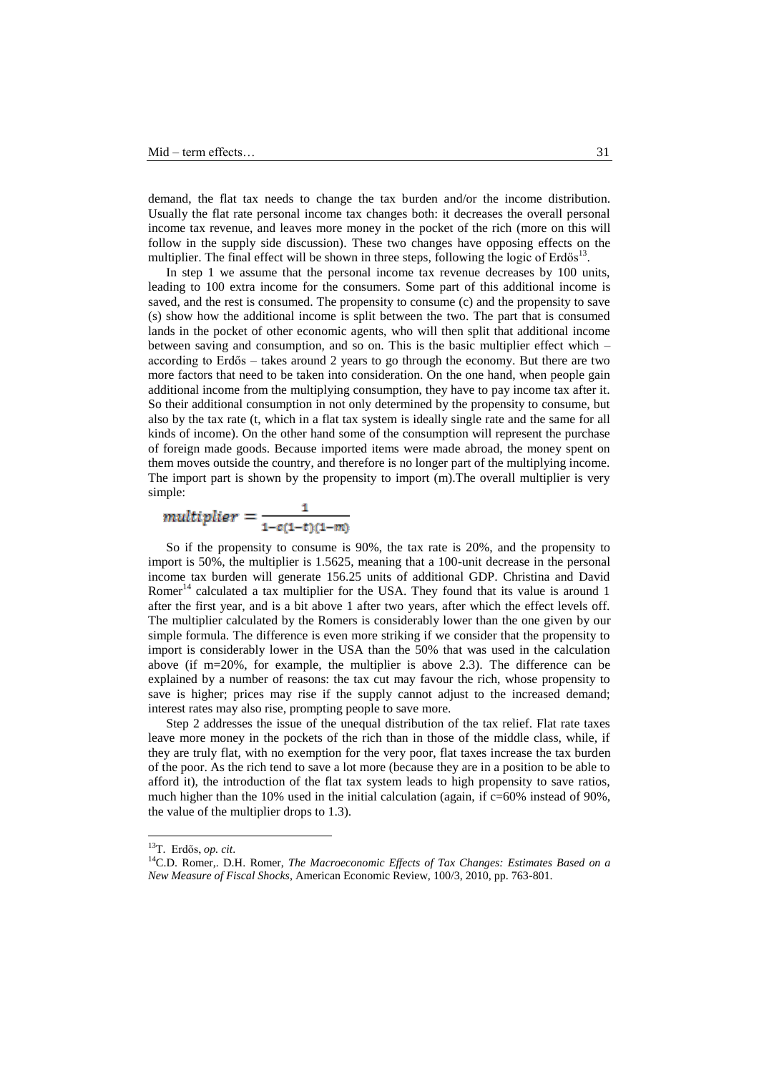demand, the flat tax needs to change the tax burden and/or the income distribution. Usually the flat rate personal income tax changes both: it decreases the overall personal income tax revenue, and leaves more money in the pocket of the rich (more on this will follow in the supply side discussion). These two changes have opposing effects on the multiplier. The final effect will be shown in three steps, following the logic of Erdős<sup>13</sup>.

In step 1 we assume that the personal income tax revenue decreases by 100 units, leading to 100 extra income for the consumers. Some part of this additional income is saved, and the rest is consumed. The propensity to consume (c) and the propensity to save (s) show how the additional income is split between the two. The part that is consumed lands in the pocket of other economic agents, who will then split that additional income between saving and consumption, and so on. This is the basic multiplier effect which – according to Erdős – takes around 2 years to go through the economy. But there are two more factors that need to be taken into consideration. On the one hand, when people gain additional income from the multiplying consumption, they have to pay income tax after it. So their additional consumption in not only determined by the propensity to consume, but also by the tax rate (t, which in a flat tax system is ideally single rate and the same for all kinds of income). On the other hand some of the consumption will represent the purchase of foreign made goods. Because imported items were made abroad, the money spent on them moves outside the country, and therefore is no longer part of the multiplying income. The import part is shown by the propensity to import (m).The overall multiplier is very simple:

$$
multiplier = \frac{1}{1 - c(1 - t)(1 - m)}
$$

So if the propensity to consume is 90%, the tax rate is 20%, and the propensity to import is 50%, the multiplier is 1.5625, meaning that a 100-unit decrease in the personal income tax burden will generate 156.25 units of additional GDP. Christina and David Romer<sup>14</sup> calculated a tax multiplier for the USA. They found that its value is around 1 after the first year, and is a bit above 1 after two years, after which the effect levels off. The multiplier calculated by the Romers is considerably lower than the one given by our simple formula. The difference is even more striking if we consider that the propensity to import is considerably lower in the USA than the 50% that was used in the calculation above (if  $m=20\%$ , for example, the multiplier is above 2.3). The difference can be explained by a number of reasons: the tax cut may favour the rich, whose propensity to save is higher; prices may rise if the supply cannot adjust to the increased demand; interest rates may also rise, prompting people to save more.

Step 2 addresses the issue of the unequal distribution of the tax relief. Flat rate taxes leave more money in the pockets of the rich than in those of the middle class, while, if they are truly flat, with no exemption for the very poor, flat taxes increase the tax burden of the poor. As the rich tend to save a lot more (because they are in a position to be able to afford it), the introduction of the flat tax system leads to high propensity to save ratios, much higher than the 10% used in the initial calculation (again, if  $c=60\%$  instead of 90%, the value of the multiplier drops to 1.3).

<sup>13</sup>T. Erdős, *op. cit*.

<sup>14</sup>C.D. Romer,. D.H. Romer, *The Macroeconomic Effects of Tax Changes: Estimates Based on a New Measure of Fiscal Shocks*, American Economic Review, 100/3, 2010, pp. 763-801.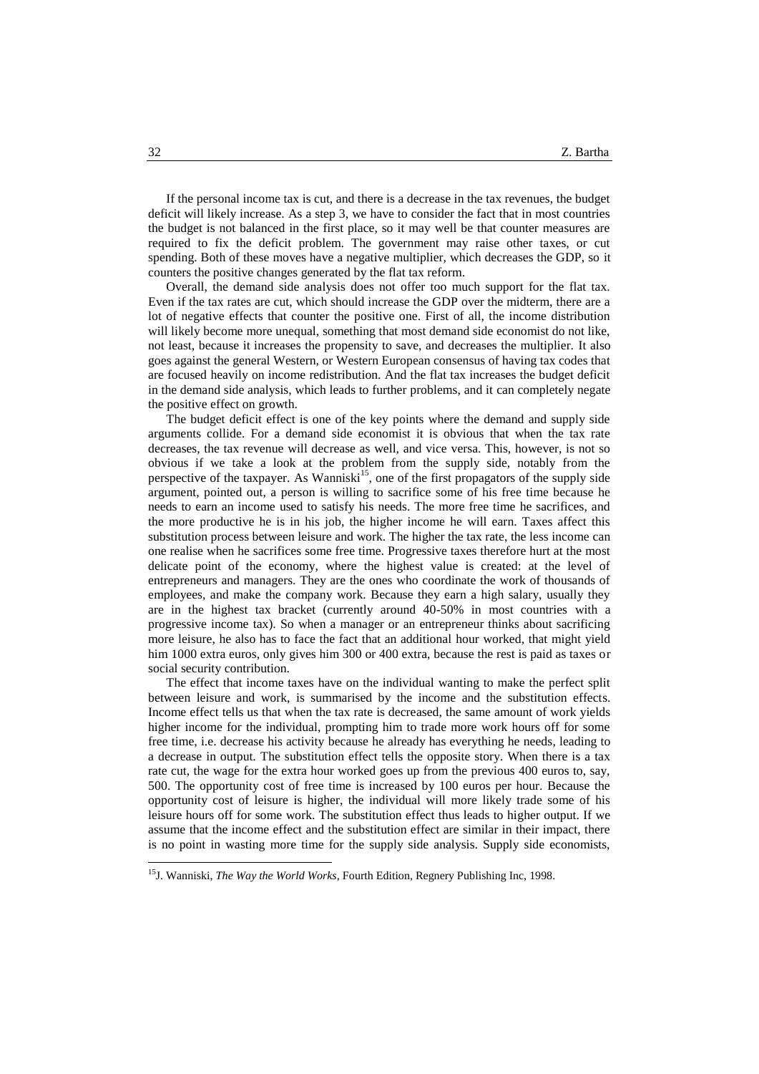If the personal income tax is cut, and there is a decrease in the tax revenues, the budget deficit will likely increase. As a step 3, we have to consider the fact that in most countries the budget is not balanced in the first place, so it may well be that counter measures are required to fix the deficit problem. The government may raise other taxes, or cut spending. Both of these moves have a negative multiplier, which decreases the GDP, so it counters the positive changes generated by the flat tax reform.

Overall, the demand side analysis does not offer too much support for the flat tax. Even if the tax rates are cut, which should increase the GDP over the midterm, there are a lot of negative effects that counter the positive one. First of all, the income distribution will likely become more unequal, something that most demand side economist do not like, not least, because it increases the propensity to save, and decreases the multiplier. It also goes against the general Western, or Western European consensus of having tax codes that are focused heavily on income redistribution. And the flat tax increases the budget deficit in the demand side analysis, which leads to further problems, and it can completely negate the positive effect on growth.

The budget deficit effect is one of the key points where the demand and supply side arguments collide. For a demand side economist it is obvious that when the tax rate decreases, the tax revenue will decrease as well, and vice versa. This, however, is not so obvious if we take a look at the problem from the supply side, notably from the perspective of the taxpayer. As Wanniski<sup>15</sup>, one of the first propagators of the supply side argument, pointed out, a person is willing to sacrifice some of his free time because he needs to earn an income used to satisfy his needs. The more free time he sacrifices, and the more productive he is in his job, the higher income he will earn. Taxes affect this substitution process between leisure and work. The higher the tax rate, the less income can one realise when he sacrifices some free time. Progressive taxes therefore hurt at the most delicate point of the economy, where the highest value is created: at the level of entrepreneurs and managers. They are the ones who coordinate the work of thousands of employees, and make the company work. Because they earn a high salary, usually they are in the highest tax bracket (currently around 40-50% in most countries with a progressive income tax). So when a manager or an entrepreneur thinks about sacrificing more leisure, he also has to face the fact that an additional hour worked, that might yield him 1000 extra euros, only gives him 300 or 400 extra, because the rest is paid as taxes or social security contribution.

The effect that income taxes have on the individual wanting to make the perfect split between leisure and work, is summarised by the income and the substitution effects. Income effect tells us that when the tax rate is decreased, the same amount of work yields higher income for the individual, prompting him to trade more work hours off for some free time, i.e. decrease his activity because he already has everything he needs, leading to a decrease in output. The substitution effect tells the opposite story. When there is a tax rate cut, the wage for the extra hour worked goes up from the previous 400 euros to, say, 500. The opportunity cost of free time is increased by 100 euros per hour. Because the opportunity cost of leisure is higher, the individual will more likely trade some of his leisure hours off for some work. The substitution effect thus leads to higher output. If we assume that the income effect and the substitution effect are similar in their impact, there is no point in wasting more time for the supply side analysis. Supply side economists,

<sup>15</sup>J. Wanniski, *The Way the World Works*, Fourth Edition, Regnery Publishing Inc, 1998.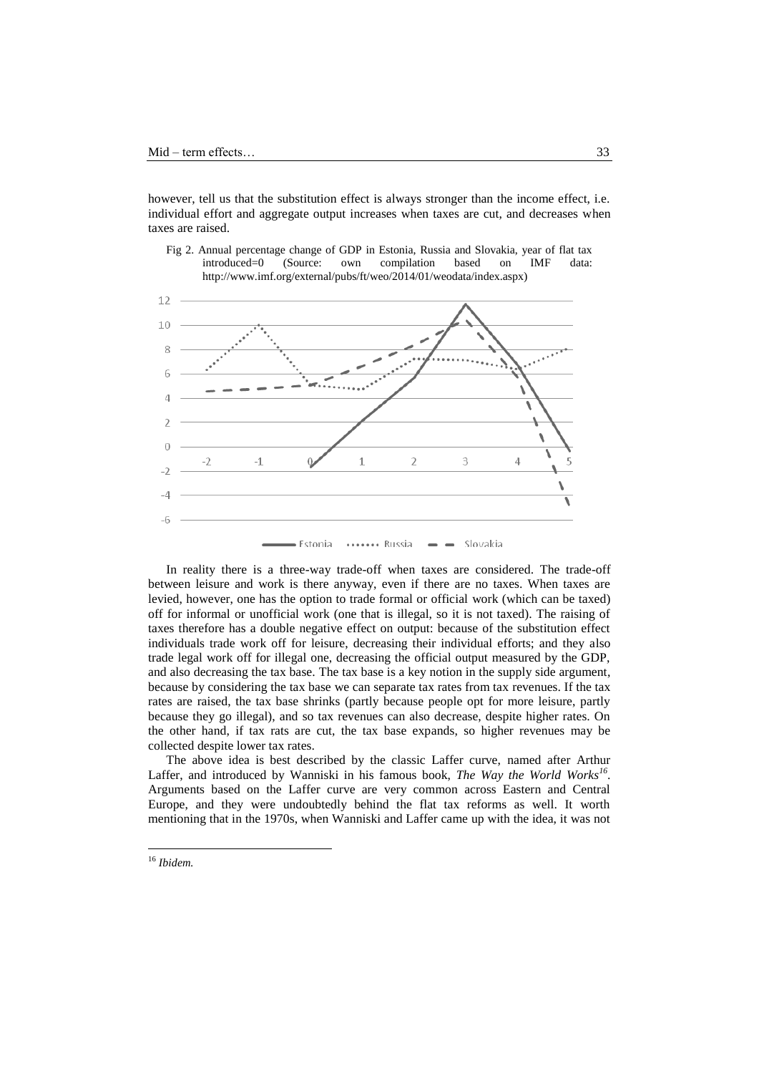however, tell us that the substitution effect is always stronger than the income effect, i.e. individual effort and aggregate output increases when taxes are cut, and decreases when taxes are raised.

Fig 2. Annual percentage change of GDP in Estonia, Russia and Slovakia, year of flat tax





In reality there is a three-way trade-off when taxes are considered. The trade-off between leisure and work is there anyway, even if there are no taxes. When taxes are levied, however, one has the option to trade formal or official work (which can be taxed) off for informal or unofficial work (one that is illegal, so it is not taxed). The raising of taxes therefore has a double negative effect on output: because of the substitution effect individuals trade work off for leisure, decreasing their individual efforts; and they also trade legal work off for illegal one, decreasing the official output measured by the GDP, and also decreasing the tax base. The tax base is a key notion in the supply side argument, because by considering the tax base we can separate tax rates from tax revenues. If the tax rates are raised, the tax base shrinks (partly because people opt for more leisure, partly because they go illegal), and so tax revenues can also decrease, despite higher rates. On the other hand, if tax rats are cut, the tax base expands, so higher revenues may be collected despite lower tax rates.

The above idea is best described by the classic Laffer curve, named after Arthur Laffer, and introduced by Wanniski in his famous book, *The Way the World Works<sup>16</sup>* . Arguments based on the Laffer curve are very common across Eastern and Central Europe, and they were undoubtedly behind the flat tax reforms as well. It worth mentioning that in the 1970s, when Wanniski and Laffer came up with the idea, it was not

<sup>16</sup> *Ibidem.*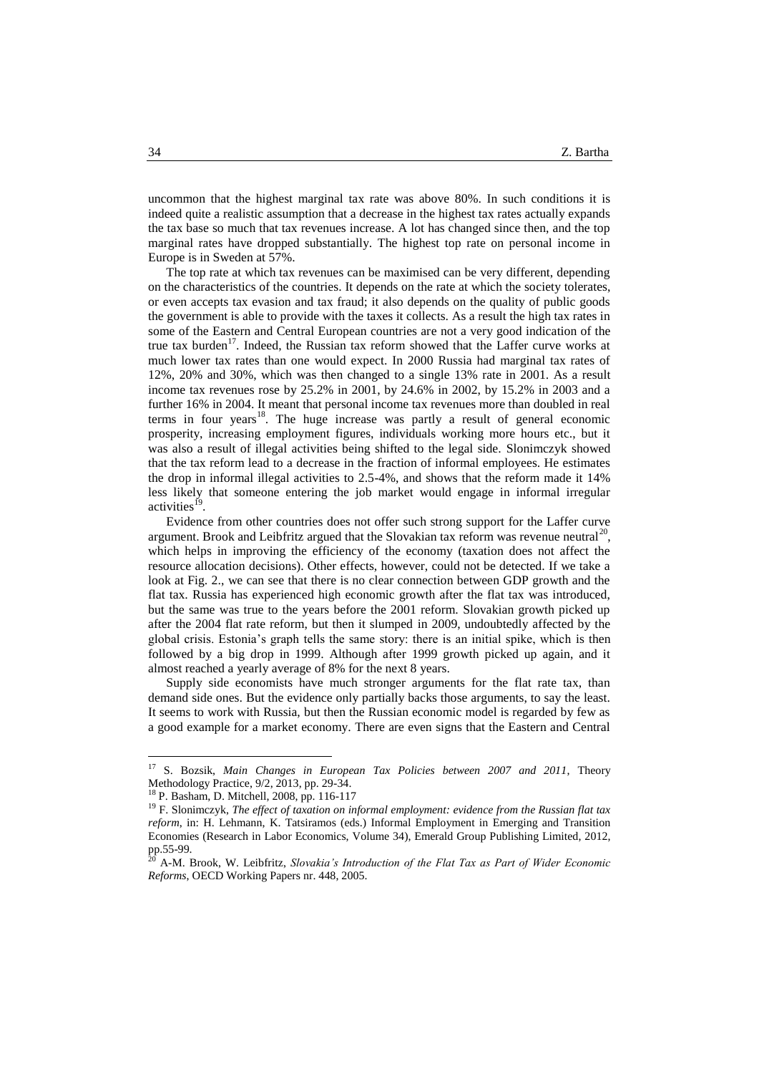uncommon that the highest marginal tax rate was above 80%. In such conditions it is indeed quite a realistic assumption that a decrease in the highest tax rates actually expands the tax base so much that tax revenues increase. A lot has changed since then, and the top marginal rates have dropped substantially. The highest top rate on personal income in Europe is in Sweden at 57%.

The top rate at which tax revenues can be maximised can be very different, depending on the characteristics of the countries. It depends on the rate at which the society tolerates, or even accepts tax evasion and tax fraud; it also depends on the quality of public goods the government is able to provide with the taxes it collects. As a result the high tax rates in some of the Eastern and Central European countries are not a very good indication of the true tax burden<sup>17</sup>. Indeed, the Russian tax reform showed that the Laffer curve works at much lower tax rates than one would expect. In 2000 Russia had marginal tax rates of 12%, 20% and 30%, which was then changed to a single 13% rate in 2001. As a result income tax revenues rose by 25.2% in 2001, by 24.6% in 2002, by 15.2% in 2003 and a further 16% in 2004. It meant that personal income tax revenues more than doubled in real terms in four years<sup>18</sup>. The huge increase was partly a result of general economic prosperity, increasing employment figures, individuals working more hours etc., but it was also a result of illegal activities being shifted to the legal side. Slonimczyk showed that the tax reform lead to a decrease in the fraction of informal employees. He estimates the drop in informal illegal activities to 2.5-4%, and shows that the reform made it 14% less likely that someone entering the job market would engage in informal irregular activities<sup>19</sup>.

Evidence from other countries does not offer such strong support for the Laffer curve argument. Brook and Leibfritz argued that the Slovakian tax reform was revenue neutral<sup>20</sup>, which helps in improving the efficiency of the economy (taxation does not affect the resource allocation decisions). Other effects, however, could not be detected. If we take a look at Fig. 2., we can see that there is no clear connection between GDP growth and the flat tax. Russia has experienced high economic growth after the flat tax was introduced, but the same was true to the years before the 2001 reform. Slovakian growth picked up after the 2004 flat rate reform, but then it slumped in 2009, undoubtedly affected by the global crisis. Estonia's graph tells the same story: there is an initial spike, which is then followed by a big drop in 1999. Although after 1999 growth picked up again, and it almost reached a yearly average of 8% for the next 8 years.

Supply side economists have much stronger arguments for the flat rate tax, than demand side ones. But the evidence only partially backs those arguments, to say the least. It seems to work with Russia, but then the Russian economic model is regarded by few as a good example for a market economy. There are even signs that the Eastern and Central

<sup>17</sup> S. Bozsik, *Main Changes in European Tax Policies between 2007 and 2011*, Theory Methodology Practice, 9/2, 2013, pp. 29-34.

<sup>18</sup> P. Basham, D. Mitchell, 2008, pp. 116-117

<sup>19</sup> F. Slonimczyk, *The effect of taxation on informal employment: evidence from the Russian flat tax reform*, in: H. Lehmann, K. Tatsiramos (eds.) Informal Employment in Emerging and Transition Economies (Research in Labor Economics, Volume 34), Emerald Group Publishing Limited, 2012, pp.55-99.

<sup>20</sup> A-M. Brook, W. Leibfritz, *Slovakia's Introduction of the Flat Tax as Part of Wider Economic Reforms*, OECD Working Papers nr. 448, 2005.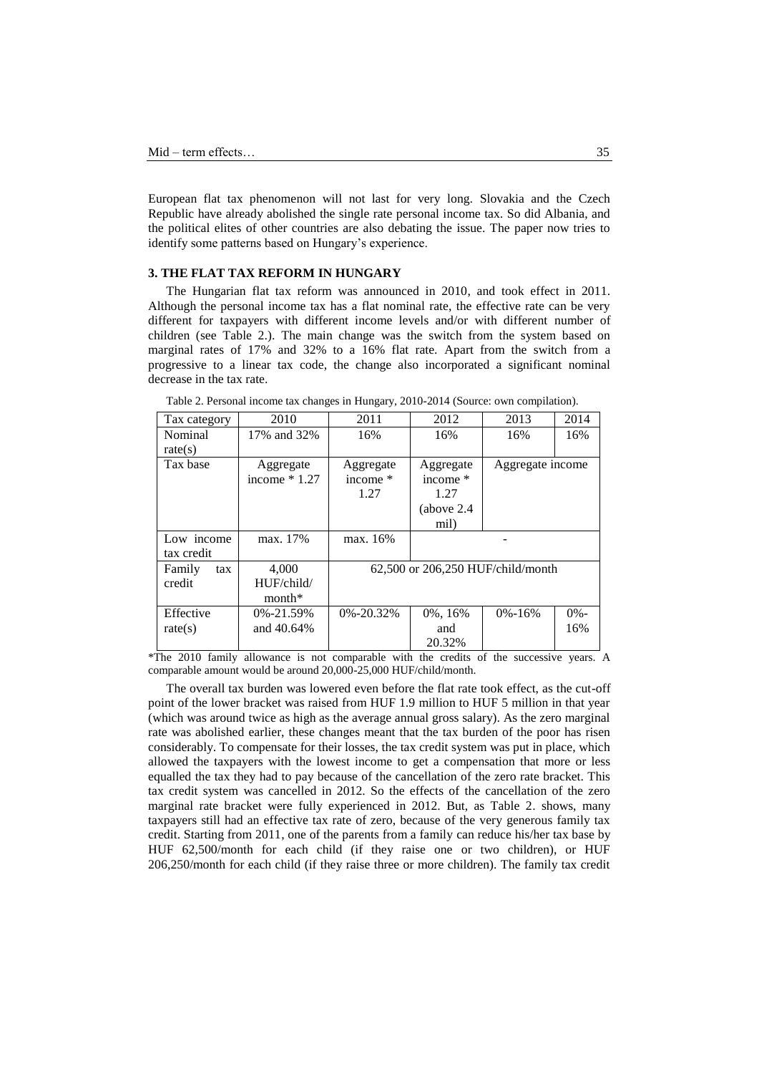European flat tax phenomenon will not last for very long. Slovakia and the Czech Republic have already abolished the single rate personal income tax. So did Albania, and the political elites of other countries are also debating the issue. The paper now tries to identify some patterns based on Hungary's experience.

## **3. THE FLAT TAX REFORM IN HUNGARY**

The Hungarian flat tax reform was announced in 2010, and took effect in 2011. Although the personal income tax has a flat nominal rate, the effective rate can be very different for taxpayers with different income levels and/or with different number of children (see Table 2.). The main change was the switch from the system based on marginal rates of 17% and 32% to a 16% flat rate. Apart from the switch from a progressive to a linear tax code, the change also incorporated a significant nominal decrease in the tax rate.

| Tax category             | 2010                            | 2011                              | 2012                                                 | 2013             | 2014           |
|--------------------------|---------------------------------|-----------------------------------|------------------------------------------------------|------------------|----------------|
| Nominal                  | 17% and 32%                     | 16%                               | 16%                                                  | 16%              | 16%            |
| rate(s)                  |                                 |                                   |                                                      |                  |                |
| Tax base                 | Aggregate<br>income $*1.27$     | Aggregate<br>income $*$<br>1.27   | Aggregate<br>income *<br>1.27<br>(above 2.4)<br>mil) | Aggregate income |                |
| Low income<br>tax credit | max. 17%                        | max. 16%                          |                                                      |                  |                |
| Family<br>tax<br>credit  | 4,000<br>HUF/child/<br>$month*$ | 62,500 or 206,250 HUF/child/month |                                                      |                  |                |
| Effective<br>rate(s)     | 0%-21.59%<br>and 40.64%         | $0\% - 20.32\%$                   | 0%, 16%<br>and<br>20.32%                             | $0\% - 16\%$     | $0\%$ -<br>16% |

Table 2. Personal income tax changes in Hungary, 2010-2014 (Source: own compilation).

\*The 2010 family allowance is not comparable with the credits of the successive years. A comparable amount would be around 20,000-25,000 HUF/child/month.

The overall tax burden was lowered even before the flat rate took effect, as the cut-off point of the lower bracket was raised from HUF 1.9 million to HUF 5 million in that year (which was around twice as high as the average annual gross salary). As the zero marginal rate was abolished earlier, these changes meant that the tax burden of the poor has risen considerably. To compensate for their losses, the tax credit system was put in place, which allowed the taxpayers with the lowest income to get a compensation that more or less equalled the tax they had to pay because of the cancellation of the zero rate bracket. This tax credit system was cancelled in 2012. So the effects of the cancellation of the zero marginal rate bracket were fully experienced in 2012. But, as Table 2. shows, many taxpayers still had an effective tax rate of zero, because of the very generous family tax credit. Starting from 2011, one of the parents from a family can reduce his/her tax base by HUF 62,500/month for each child (if they raise one or two children), or HUF 206,250/month for each child (if they raise three or more children). The family tax credit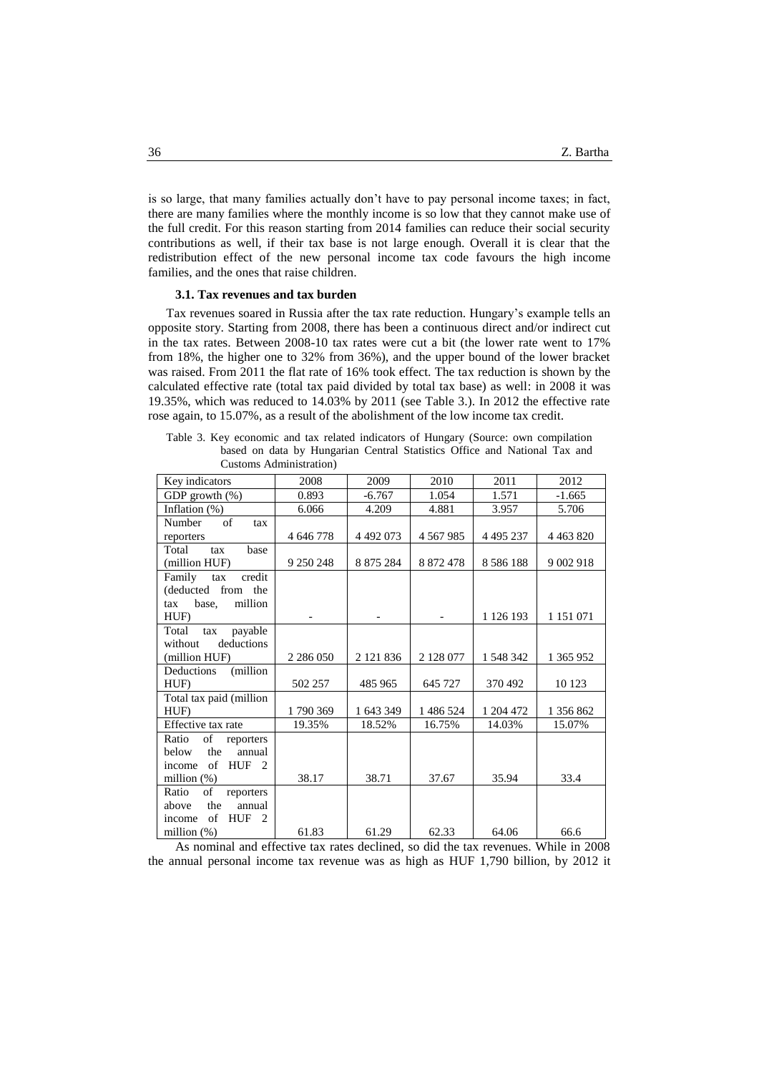is so large, that many families actually don't have to pay personal income taxes; in fact, there are many families where the monthly income is so low that they cannot make use of the full credit. For this reason starting from 2014 families can reduce their social security contributions as well, if their tax base is not large enough. Overall it is clear that the redistribution effect of the new personal income tax code favours the high income families, and the ones that raise children.

#### **3.1. Tax revenues and tax burden**

Tax revenues soared in Russia after the tax rate reduction. Hungary's example tells an opposite story. Starting from 2008, there has been a continuous direct and/or indirect cut in the tax rates. Between 2008-10 tax rates were cut a bit (the lower rate went to 17% from 18%, the higher one to 32% from 36%), and the upper bound of the lower bracket was raised. From 2011 the flat rate of 16% took effect. The tax reduction is shown by the calculated effective rate (total tax paid divided by total tax base) as well: in 2008 it was 19.35%, which was reduced to 14.03% by 2011 (see Table 3.). In 2012 the effective rate rose again, to 15.07%, as a result of the abolishment of the low income tax credit.

Table 3. Key economic and tax related indicators of Hungary (Source: own compilation based on data by Hungarian Central Statistics Office and National Tax and Customs Administration)

| Key indicators                  | 2008      | 2009          | 2010          | 2011          | 2012          |
|---------------------------------|-----------|---------------|---------------|---------------|---------------|
| GDP growth (%)                  | 0.893     | $-6.767$      | 1.054         | 1.571         | $-1.665$      |
| Inflation $(\%)$                | 6.066     | 4.209         | 4.881         | 3.957         | 5.706         |
| of<br>Number<br>tax             |           |               |               |               |               |
| reporters                       | 4 646 778 | 4 4 9 2 0 7 3 | 4 5 6 7 9 8 5 | 4 4 9 5 2 3 7 | 4 4 6 3 8 2 0 |
| Total<br>base<br>tax            |           |               |               |               |               |
| (million HUF)                   | 9 250 248 | 8 875 284     | 8 872 478     | 8 5 8 6 1 8 8 | 9 002 918     |
| Family<br>credit<br>tax         |           |               |               |               |               |
| (deducted from the              |           |               |               |               |               |
| million<br>base,<br>tax         |           |               |               |               |               |
| HUF)                            |           |               |               | 1 126 193     | 1 151 071     |
| Total<br>payable<br>tax         |           |               |               |               |               |
| deductions<br>without           |           |               |               |               |               |
| (million HUF)                   | 2 286 050 | 2 121 836     | 2 128 077     | 1 548 342     | 1 365 952     |
| (million<br>Deductions          |           |               |               |               |               |
| HUF)                            | 502 257   | 485 965       | 645 727       | 370 492       | 10 1 23       |
| Total tax paid (million         |           |               |               |               |               |
| HUF)                            | 1790369   | 1 643 349     | 1 486 524     | 1 204 472     | 1 356 862     |
| Effective tax rate              | 19.35%    | 18.52%        | 16.75%        | 14.03%        | 15.07%        |
| of<br>Ratio<br>reporters        |           |               |               |               |               |
| the<br>annual<br>below          |           |               |               |               |               |
| of<br>HUF<br>2<br>income        |           |               |               |               |               |
| million $(\%)$                  | 38.17     | 38.71         | 37.67         | 35.94         | 33.4          |
| of<br>Ratio<br>reporters        |           |               |               |               |               |
| the<br>above<br>annual          |           |               |               |               |               |
| of<br><b>HUF</b><br>2<br>income |           |               |               |               |               |
| million $(\%)$                  | 61.83     | 61.29         | 62.33         | 64.06         | 66.6          |

As nominal and effective tax rates declined, so did the tax revenues. While in 2008 the annual personal income tax revenue was as high as HUF 1,790 billion, by 2012 it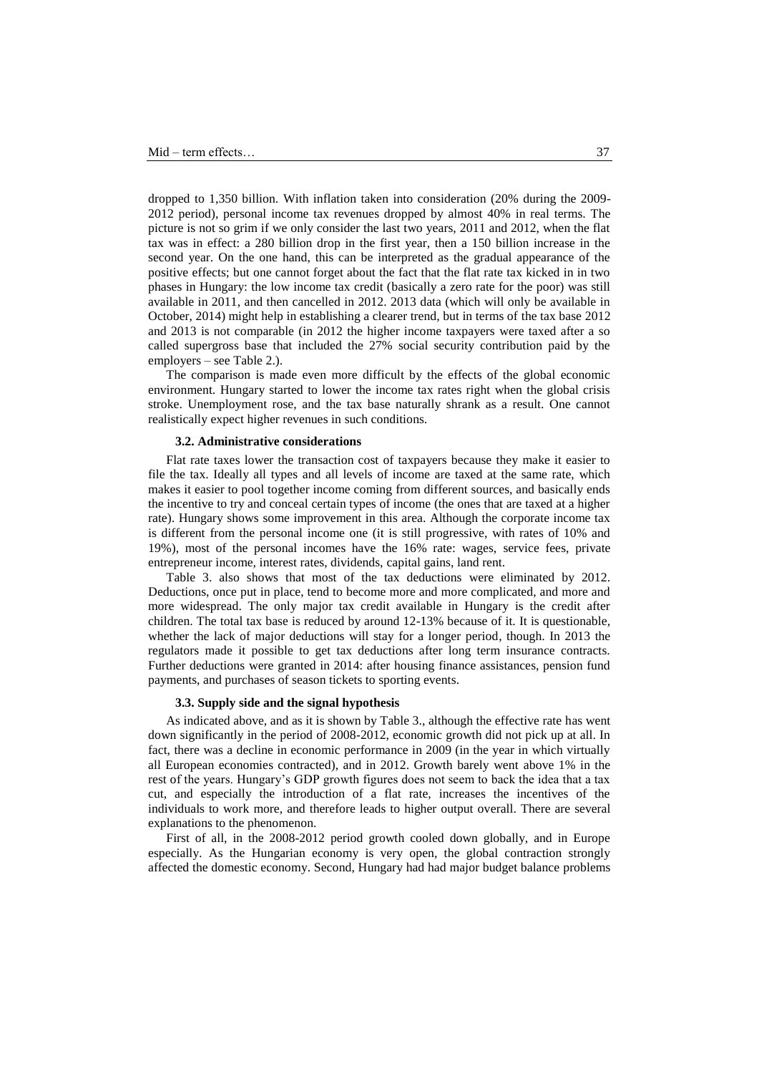dropped to 1,350 billion. With inflation taken into consideration (20% during the 2009- 2012 period), personal income tax revenues dropped by almost 40% in real terms. The picture is not so grim if we only consider the last two years, 2011 and 2012, when the flat tax was in effect: a 280 billion drop in the first year, then a 150 billion increase in the second year. On the one hand, this can be interpreted as the gradual appearance of the positive effects; but one cannot forget about the fact that the flat rate tax kicked in in two phases in Hungary: the low income tax credit (basically a zero rate for the poor) was still available in 2011, and then cancelled in 2012. 2013 data (which will only be available in October, 2014) might help in establishing a clearer trend, but in terms of the tax base 2012 and 2013 is not comparable (in 2012 the higher income taxpayers were taxed after a so called supergross base that included the 27% social security contribution paid by the employers – see Table 2.).

The comparison is made even more difficult by the effects of the global economic environment. Hungary started to lower the income tax rates right when the global crisis stroke. Unemployment rose, and the tax base naturally shrank as a result. One cannot realistically expect higher revenues in such conditions.

### **3.2. Administrative considerations**

Flat rate taxes lower the transaction cost of taxpayers because they make it easier to file the tax. Ideally all types and all levels of income are taxed at the same rate, which makes it easier to pool together income coming from different sources, and basically ends the incentive to try and conceal certain types of income (the ones that are taxed at a higher rate). Hungary shows some improvement in this area. Although the corporate income tax is different from the personal income one (it is still progressive, with rates of 10% and 19%), most of the personal incomes have the 16% rate: wages, service fees, private entrepreneur income, interest rates, dividends, capital gains, land rent.

Table 3. also shows that most of the tax deductions were eliminated by 2012. Deductions, once put in place, tend to become more and more complicated, and more and more widespread. The only major tax credit available in Hungary is the credit after children. The total tax base is reduced by around 12-13% because of it. It is questionable, whether the lack of major deductions will stay for a longer period, though. In 2013 the regulators made it possible to get tax deductions after long term insurance contracts. Further deductions were granted in 2014: after housing finance assistances, pension fund payments, and purchases of season tickets to sporting events.

#### **3.3. Supply side and the signal hypothesis**

As indicated above, and as it is shown by Table 3., although the effective rate has went down significantly in the period of 2008-2012, economic growth did not pick up at all. In fact, there was a decline in economic performance in 2009 (in the year in which virtually all European economies contracted), and in 2012. Growth barely went above 1% in the rest of the years. Hungary's GDP growth figures does not seem to back the idea that a tax cut, and especially the introduction of a flat rate, increases the incentives of the individuals to work more, and therefore leads to higher output overall. There are several explanations to the phenomenon.

First of all, in the 2008-2012 period growth cooled down globally, and in Europe especially. As the Hungarian economy is very open, the global contraction strongly affected the domestic economy. Second, Hungary had had major budget balance problems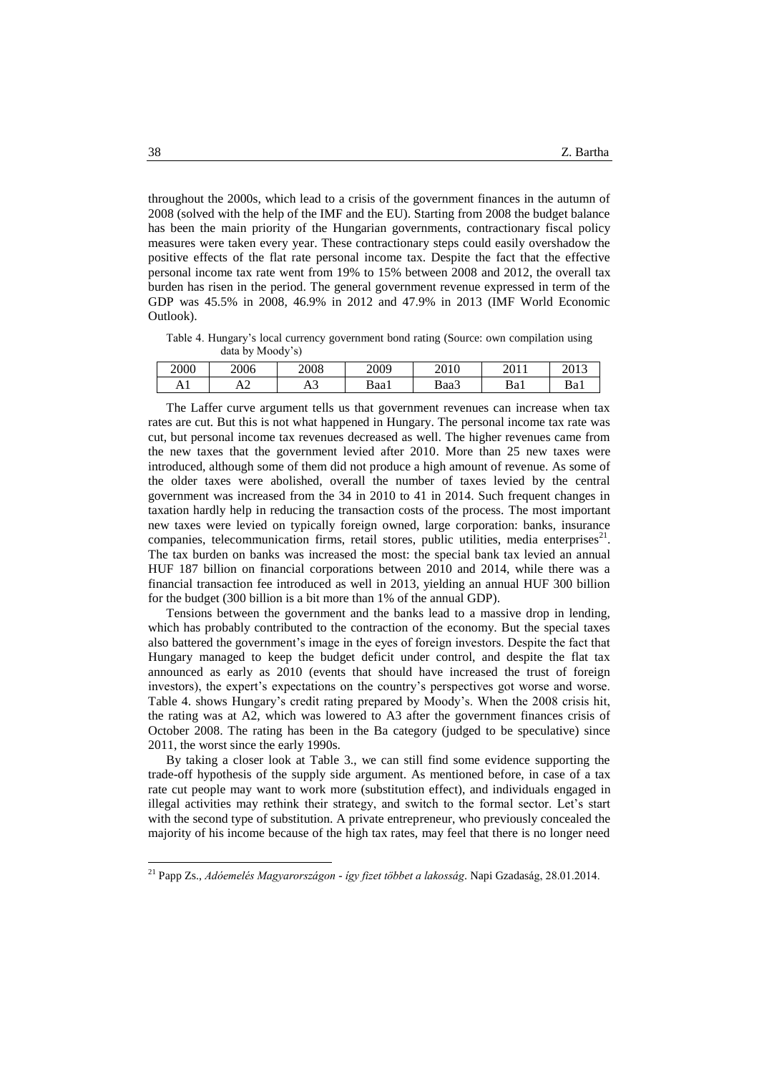throughout the 2000s, which lead to a crisis of the government finances in the autumn of 2008 (solved with the help of the IMF and the EU). Starting from 2008 the budget balance has been the main priority of the Hungarian governments, contractionary fiscal policy measures were taken every year. These contractionary steps could easily overshadow the positive effects of the flat rate personal income tax. Despite the fact that the effective personal income tax rate went from 19% to 15% between 2008 and 2012, the overall tax burden has risen in the period. The general government revenue expressed in term of the GDP was 45.5% in 2008, 46.9% in 2012 and 47.9% in 2013 (IMF World Economic Outlook).

Table 4. Hungary's local currency government bond rating (Source: own compilation using data by Moody's)

| 2000 | 2006 | 2008 | 2009 | 2010<br>∠∪ | 201 | $\sim$<br>-019      |
|------|------|------|------|------------|-----|---------------------|
| Al   | ∼    | ΩJ   | Baa1 | вааз       | Ba1 | $\mathbf{r}$<br>Bal |

The Laffer curve argument tells us that government revenues can increase when tax rates are cut. But this is not what happened in Hungary. The personal income tax rate was cut, but personal income tax revenues decreased as well. The higher revenues came from the new taxes that the government levied after 2010. More than 25 new taxes were introduced, although some of them did not produce a high amount of revenue. As some of the older taxes were abolished, overall the number of taxes levied by the central government was increased from the 34 in 2010 to 41 in 2014. Such frequent changes in taxation hardly help in reducing the transaction costs of the process. The most important new taxes were levied on typically foreign owned, large corporation: banks, insurance companies, telecommunication firms, retail stores, public utilities, media enterprises $^{21}$ . The tax burden on banks was increased the most: the special bank tax levied an annual HUF 187 billion on financial corporations between 2010 and 2014, while there was a financial transaction fee introduced as well in 2013, yielding an annual HUF 300 billion for the budget (300 billion is a bit more than 1% of the annual GDP).

Tensions between the government and the banks lead to a massive drop in lending, which has probably contributed to the contraction of the economy. But the special taxes also battered the government's image in the eyes of foreign investors. Despite the fact that Hungary managed to keep the budget deficit under control, and despite the flat tax announced as early as 2010 (events that should have increased the trust of foreign investors), the expert's expectations on the country's perspectives got worse and worse. Table 4. shows Hungary's credit rating prepared by Moody's. When the 2008 crisis hit, the rating was at A2, which was lowered to A3 after the government finances crisis of October 2008. The rating has been in the Ba category (judged to be speculative) since 2011, the worst since the early 1990s.

By taking a closer look at Table 3., we can still find some evidence supporting the trade-off hypothesis of the supply side argument. As mentioned before, in case of a tax rate cut people may want to work more (substitution effect), and individuals engaged in illegal activities may rethink their strategy, and switch to the formal sector. Let's start with the second type of substitution. A private entrepreneur, who previously concealed the majority of his income because of the high tax rates, may feel that there is no longer need

<sup>21</sup> Papp Zs., *Adóemelés Magyarországon - így fizet többet a lakosság*. Napi Gzadaság, 28.01.2014.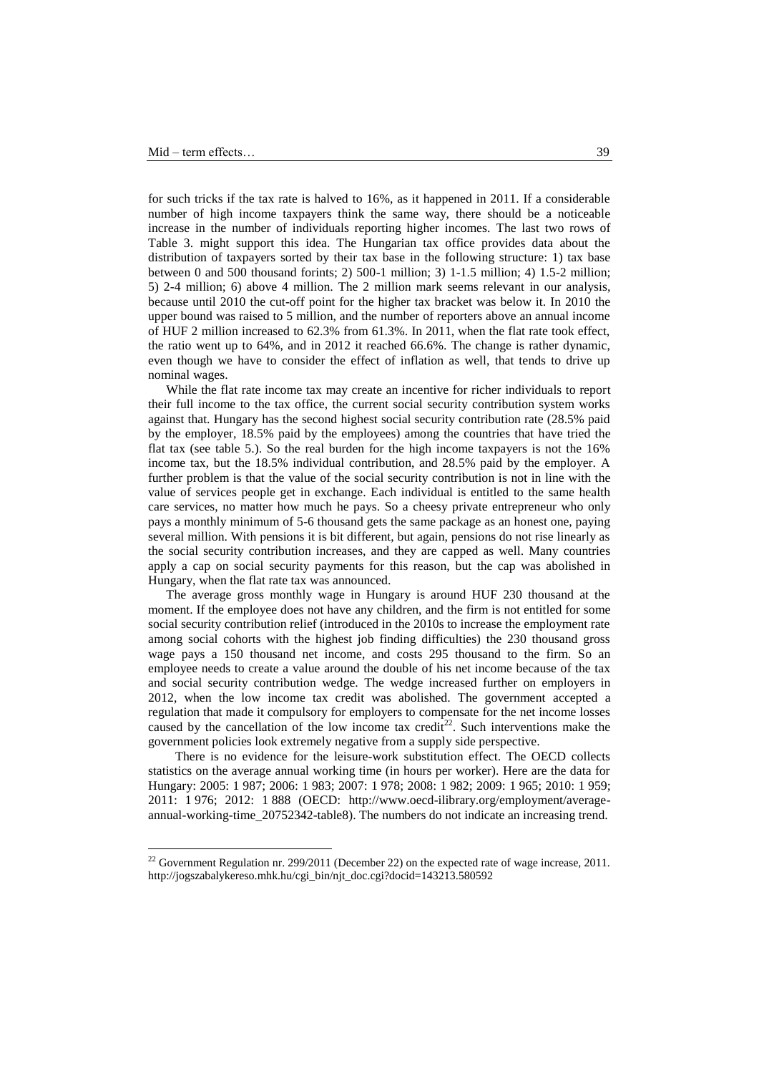1

for such tricks if the tax rate is halved to 16%, as it happened in 2011. If a considerable number of high income taxpayers think the same way, there should be a noticeable increase in the number of individuals reporting higher incomes. The last two rows of Table 3. might support this idea. The Hungarian tax office provides data about the distribution of taxpayers sorted by their tax base in the following structure: 1) tax base between 0 and 500 thousand forints; 2) 500-1 million; 3) 1-1.5 million; 4) 1.5-2 million; 5) 2-4 million; 6) above 4 million. The 2 million mark seems relevant in our analysis, because until 2010 the cut-off point for the higher tax bracket was below it. In 2010 the upper bound was raised to 5 million, and the number of reporters above an annual income of HUF 2 million increased to 62.3% from 61.3%. In 2011, when the flat rate took effect, the ratio went up to 64%, and in 2012 it reached 66.6%. The change is rather dynamic, even though we have to consider the effect of inflation as well, that tends to drive up nominal wages.

While the flat rate income tax may create an incentive for richer individuals to report their full income to the tax office, the current social security contribution system works against that. Hungary has the second highest social security contribution rate (28.5% paid by the employer, 18.5% paid by the employees) among the countries that have tried the flat tax (see table 5.). So the real burden for the high income taxpayers is not the 16% income tax, but the 18.5% individual contribution, and 28.5% paid by the employer. A further problem is that the value of the social security contribution is not in line with the value of services people get in exchange. Each individual is entitled to the same health care services, no matter how much he pays. So a cheesy private entrepreneur who only pays a monthly minimum of 5-6 thousand gets the same package as an honest one, paying several million. With pensions it is bit different, but again, pensions do not rise linearly as the social security contribution increases, and they are capped as well. Many countries apply a cap on social security payments for this reason, but the cap was abolished in Hungary, when the flat rate tax was announced.

The average gross monthly wage in Hungary is around HUF 230 thousand at the moment. If the employee does not have any children, and the firm is not entitled for some social security contribution relief (introduced in the 2010s to increase the employment rate among social cohorts with the highest job finding difficulties) the 230 thousand gross wage pays a 150 thousand net income, and costs 295 thousand to the firm. So an employee needs to create a value around the double of his net income because of the tax and social security contribution wedge. The wedge increased further on employers in 2012, when the low income tax credit was abolished. The government accepted a regulation that made it compulsory for employers to compensate for the net income losses caused by the cancellation of the low income tax credit<sup>22</sup>. Such interventions make the government policies look extremely negative from a supply side perspective.

There is no evidence for the leisure-work substitution effect. The OECD collects statistics on the average annual working time (in hours per worker). Here are the data for Hungary: 2005: 1 987; 2006: 1 983; 2007: 1 978; 2008: 1 982; 2009: 1 965; 2010: 1 959; 2011: 1 976; 2012: 1 888 (OECD: http://www.oecd-ilibrary.org/employment/averageannual-working-time\_20752342-table8). The numbers do not indicate an increasing trend.

<sup>&</sup>lt;sup>22</sup> Government Regulation nr. 299/2011 (December 22) on the expected rate of wage increase, 2011. http://jogszabalykereso.mhk.hu/cgi\_bin/njt\_doc.cgi?docid=143213.580592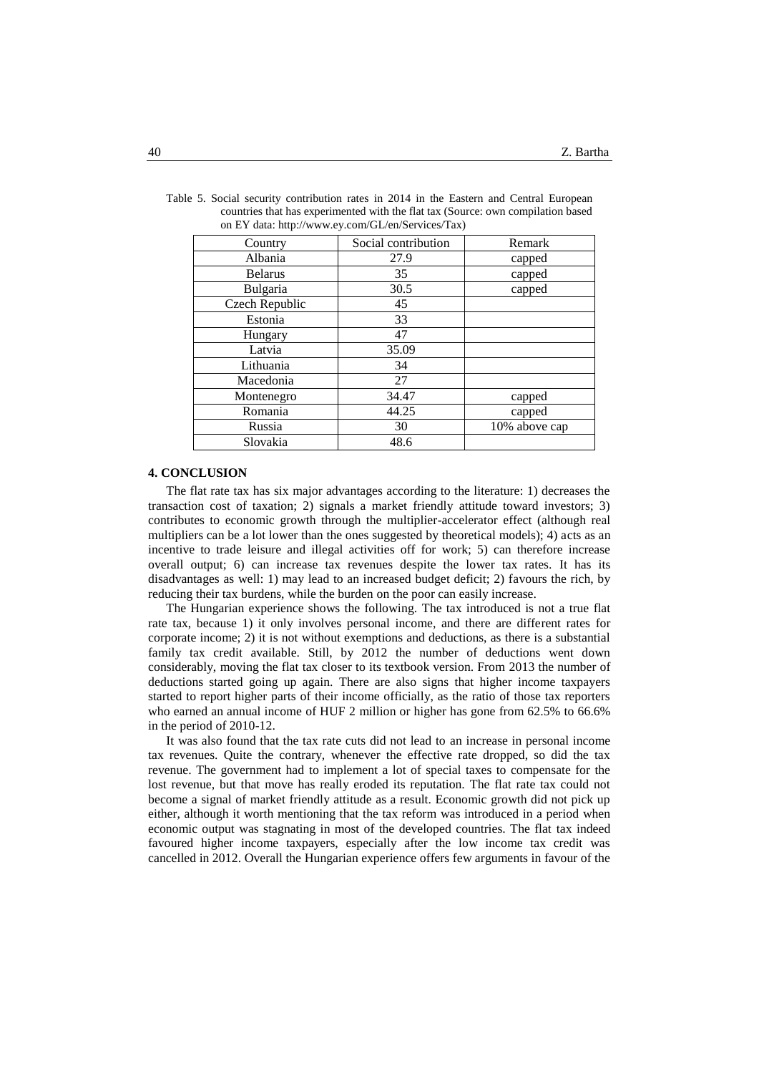| Country        | Social contribution | Remark        |
|----------------|---------------------|---------------|
| Albania        | 27.9                | capped        |
| <b>Belarus</b> | 35                  | capped        |
| Bulgaria       | 30.5                | capped        |
| Czech Republic | 45                  |               |
| Estonia        | 33                  |               |
| Hungary        | 47                  |               |
| Latvia         | 35.09               |               |
| Lithuania      | 34                  |               |
| Macedonia      | 27                  |               |
| Montenegro     | 34.47               | capped        |
| Romania        | 44.25               | capped        |
| Russia         | 30                  | 10% above cap |
| Slovakia       | 48.6                |               |

Table 5. Social security contribution rates in 2014 in the Eastern and Central European countries that has experimented with the flat tax (Source: own compilation based on EY data: http://www.ey.com/GL/en/Services/Tax)

## **4. CONCLUSION**

The flat rate tax has six major advantages according to the literature: 1) decreases the transaction cost of taxation; 2) signals a market friendly attitude toward investors; 3) contributes to economic growth through the multiplier-accelerator effect (although real multipliers can be a lot lower than the ones suggested by theoretical models); 4) acts as an incentive to trade leisure and illegal activities off for work; 5) can therefore increase overall output; 6) can increase tax revenues despite the lower tax rates. It has its disadvantages as well: 1) may lead to an increased budget deficit; 2) favours the rich, by reducing their tax burdens, while the burden on the poor can easily increase.

The Hungarian experience shows the following. The tax introduced is not a true flat rate tax, because 1) it only involves personal income, and there are different rates for corporate income; 2) it is not without exemptions and deductions, as there is a substantial family tax credit available. Still, by 2012 the number of deductions went down considerably, moving the flat tax closer to its textbook version. From 2013 the number of deductions started going up again. There are also signs that higher income taxpayers started to report higher parts of their income officially, as the ratio of those tax reporters who earned an annual income of HUF 2 million or higher has gone from 62.5% to 66.6% in the period of 2010-12.

It was also found that the tax rate cuts did not lead to an increase in personal income tax revenues. Quite the contrary, whenever the effective rate dropped, so did the tax revenue. The government had to implement a lot of special taxes to compensate for the lost revenue, but that move has really eroded its reputation. The flat rate tax could not become a signal of market friendly attitude as a result. Economic growth did not pick up either, although it worth mentioning that the tax reform was introduced in a period when economic output was stagnating in most of the developed countries. The flat tax indeed favoured higher income taxpayers, especially after the low income tax credit was cancelled in 2012. Overall the Hungarian experience offers few arguments in favour of the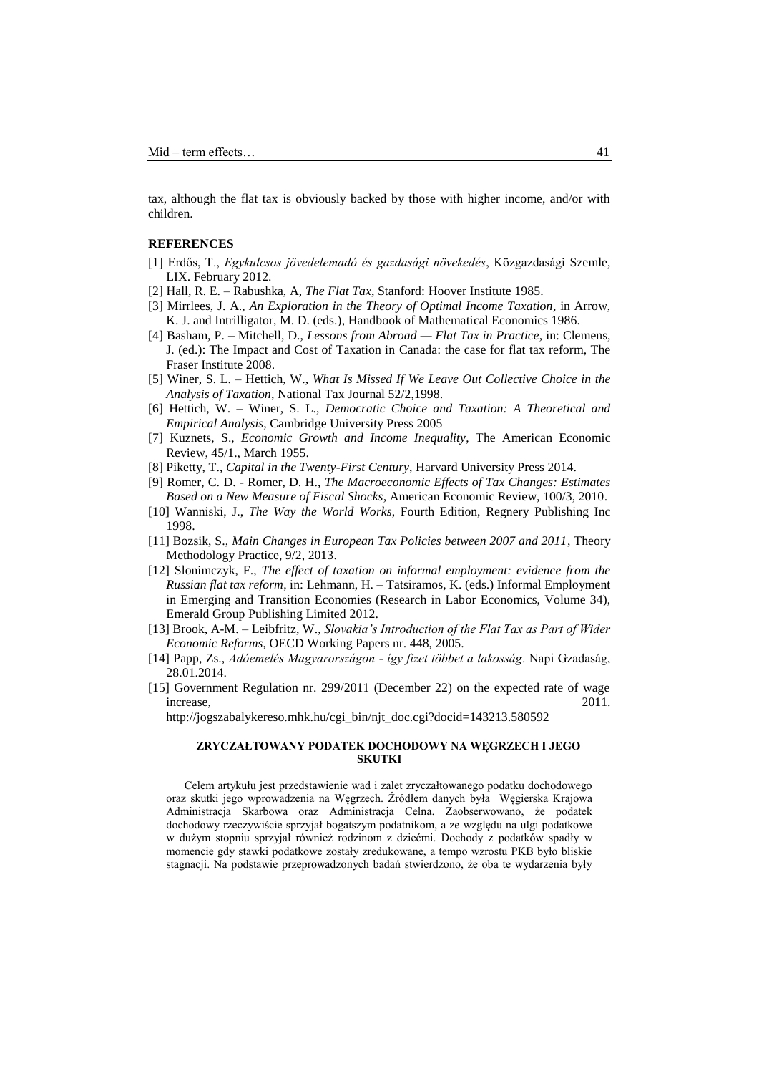tax, although the flat tax is obviously backed by those with higher income, and/or with children.

## **REFERENCES**

- [1] Erdős, T., *Egykulcsos jövedelemadó és gazdasági növekedés*, Közgazdasági Szemle, LIX. February 2012.
- [2] Hall, R. E. Rabushka, A, *The Flat Tax*, Stanford: Hoover Institute 1985.
- [3] Mirrlees, J. A., *An Exploration in the Theory of Optimal Income Taxation*, in Arrow, K. J. and Intrilligator, M. D. (eds.), Handbook of Mathematical Economics 1986.
- [4] Basham, P. Mitchell, D., *Lessons from Abroad — Flat Tax in Practice*, in: Clemens, J. (ed.): The Impact and Cost of Taxation in Canada: the case for flat tax reform, The Fraser Institute 2008.
- [5] Winer, S. L. Hettich, W., *What Is Missed If We Leave Out Collective Choice in the Analysis of Taxation,* National Tax Journal 52/2,1998.
- [6] Hettich, W. Winer, S. L., *Democratic Choice and Taxation: A Theoretical and Empirical Analysis*, Cambridge University Press 2005
- [7] Kuznets, S., *Economic Growth and Income Inequality*, The American Economic Review, 45/1., March 1955.
- [8] Piketty, T., *Capital in the Twenty-First Century*, Harvard University Press 2014.
- [9] Romer, C. D. Romer, D. H., *The Macroeconomic Effects of Tax Changes: Estimates Based on a New Measure of Fiscal Shocks*, American Economic Review, 100/3, 2010.
- [10] Wanniski, J., *The Way the World Works*, Fourth Edition, Regnery Publishing Inc 1998.
- [11] Bozsik, S., *Main Changes in European Tax Policies between 2007 and 2011*, Theory Methodology Practice, 9/2, 2013.
- [12] Slonimczyk, F., *The effect of taxation on informal employment: evidence from the Russian flat tax reform*, in: Lehmann, H. – Tatsiramos, K. (eds.) Informal Employment in Emerging and Transition Economies (Research in Labor Economics, Volume 34), Emerald Group Publishing Limited 2012.
- [13] Brook, A-M. Leibfritz, W., *Slovakia's Introduction of the Flat Tax as Part of Wider Economic Reforms*, OECD Working Papers nr. 448, 2005.
- [14] Papp, Zs., *Adóemelés Magyarországon - így fizet többet a lakosság*. Napi Gzadaság, 28.01.2014.
- [15] Government Regulation nr. 299/2011 (December 22) on the expected rate of wage increase, 2011.

[http://jogszabalykereso.mhk.hu/cgi\\_bin/njt\\_doc.cgi?docid=143213.580592](http://jogszabalykereso.mhk.hu/cgi_bin/njt_doc.cgi?docid=143213.580592)

## **ZRYCZAŁTOWANY PODATEK DOCHODOWY NA WĘGRZECH I JEGO SKUTKI**

Celem artykułu jest przedstawienie wad i zalet zryczałtowanego podatku dochodowego oraz skutki jego wprowadzenia na Węgrzech. Źródłem danych była Węgierska Krajowa Administracja Skarbowa oraz Administracja Celna. Zaobserwowano, że podatek dochodowy rzeczywiście sprzyjał bogatszym podatnikom, a ze względu na ulgi podatkowe w dużym stopniu sprzyjał również rodzinom z dziećmi. Dochody z podatków spadły w momencie gdy stawki podatkowe zostały zredukowane, a tempo wzrostu PKB było bliskie stagnacji. Na podstawie przeprowadzonych badań stwierdzono, że oba te wydarzenia były